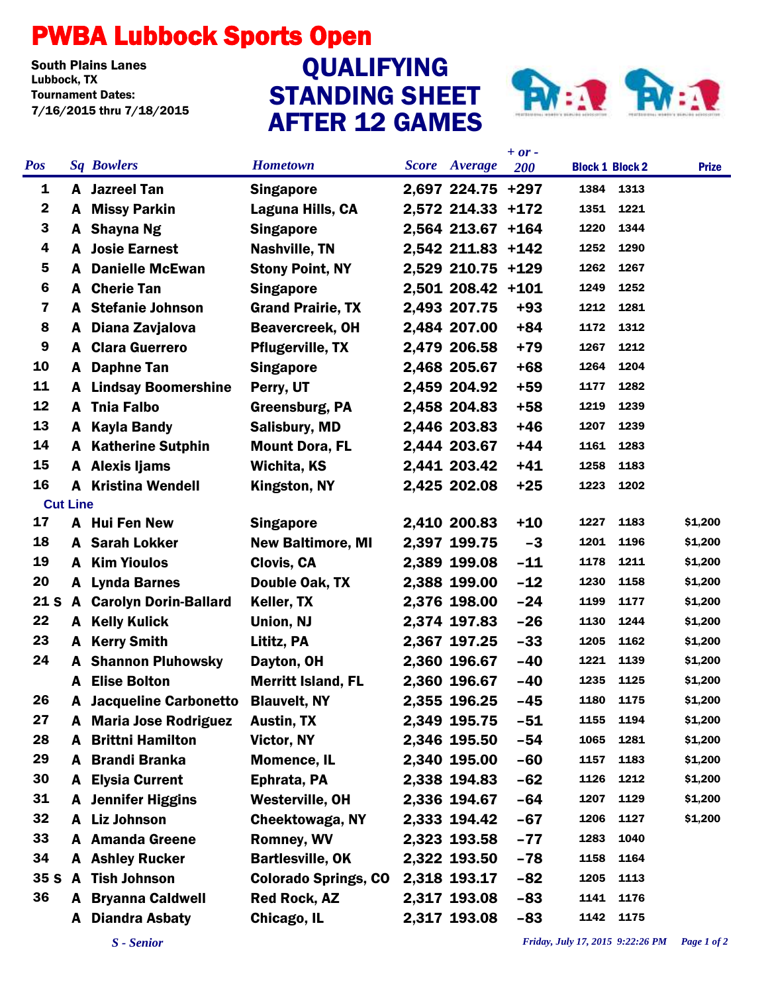## PWBA Lubbock Sports Open

South Plains Lanes<br>Lubbock. TX Tournament Dates: 7/16/2015 thru 7/18/2015

## STANDING SHEET AFTER 12 GAMES QUALIFYING



|                         |   |                                |                             |  |                      | $+ or -$ |                        |                 |  |
|-------------------------|---|--------------------------------|-----------------------------|--|----------------------|----------|------------------------|-----------------|--|
| <b>Pos</b>              |   | <b>Sq Bowlers</b>              | <b>Hometown</b>             |  | <b>Score</b> Average | 200      | <b>Block 1 Block 2</b> | <b>Prize</b>    |  |
| 1                       |   | <b>A</b> Jazreel Tan           | <b>Singapore</b>            |  | 2,697 224.75 +297    |          | 1384                   | 1313            |  |
| $\boldsymbol{2}$        | A | <b>Missy Parkin</b>            | Laguna Hills, CA            |  | 2,572 214.33 +172    |          | 1351                   | 1221            |  |
| 3                       | A | Shayna Ng                      | <b>Singapore</b>            |  | 2,564 213.67 +164    |          | 1220                   | 1344            |  |
| 4                       | A | <b>Josie Earnest</b>           | <b>Nashville, TN</b>        |  | 2,542 211.83 +142    |          | 1252                   | 1290            |  |
| 5                       | A | <b>Danielle McEwan</b>         | <b>Stony Point, NY</b>      |  | 2,529 210.75 +129    |          | 1262                   | 1267            |  |
| 6                       | A | <b>Cherie Tan</b>              | <b>Singapore</b>            |  | 2,501 208.42 +101    |          | 1249                   | 1252            |  |
| $\overline{\mathbf{z}}$ | A | <b>Stefanie Johnson</b>        | <b>Grand Prairie, TX</b>    |  | 2,493 207.75         | $+93$    | 1212                   | 1281            |  |
| 8                       | A | Diana Zavjalova                | <b>Beavercreek, OH</b>      |  | 2,484 207.00         | $+84$    | 1172                   | 1312            |  |
| $\boldsymbol{9}$        | A | <b>Clara Guerrero</b>          | <b>Pflugerville, TX</b>     |  | 2,479 206.58         | $+79$    | 1267                   | 1212            |  |
| 10                      | A | <b>Daphne Tan</b>              | <b>Singapore</b>            |  | 2,468 205.67         | $+68$    | 1264                   | 1204            |  |
| 11                      | A | <b>Lindsay Boomershine</b>     | Perry, UT                   |  | 2,459 204.92         | $+59$    | 1177                   | 1282            |  |
| 12                      | A | <b>Tnia Falbo</b>              | Greensburg, PA              |  | 2,458 204.83         | $+58$    | 1219                   | 1239            |  |
| 13                      | A | <b>Kayla Bandy</b>             | <b>Salisbury, MD</b>        |  | 2,446 203.83         | $+46$    | 1207                   | 1239            |  |
| 14                      | A | <b>Katherine Sutphin</b>       | <b>Mount Dora, FL</b>       |  | 2,444 203.67         | $+44$    | 1161                   | 1283            |  |
| 15                      |   | A Alexis Ijams                 | Wichita, KS                 |  | 2,441 203.42         | $+41$    | 1258                   | 1183            |  |
| 16                      | A | <b>Kristina Wendell</b>        | Kingston, NY                |  | 2,425 202.08         | $+25$    | 1223                   | 1202            |  |
| <b>Cut Line</b>         |   |                                |                             |  |                      |          |                        |                 |  |
| 17                      |   | A Hui Fen New                  | <b>Singapore</b>            |  | 2,410 200.83         | $+10$    | 1227                   | \$1,200<br>1183 |  |
| 18                      |   | <b>A</b> Sarah Lokker          | <b>New Baltimore, MI</b>    |  | 2,397 199.75         | $-3$     | 1201                   | 1196<br>\$1,200 |  |
| 19                      | A | <b>Kim Yioulos</b>             | Clovis, CA                  |  | 2,389 199.08         | $-11$    | 1178                   | 1211<br>\$1,200 |  |
| 20                      | A | <b>Lynda Barnes</b>            | Double Oak, TX              |  | 2,388 199.00         | $-12$    | 1230                   | \$1,200<br>1158 |  |
| 21 <sub>S</sub>         |   | <b>A</b> Carolyn Dorin-Ballard | Keller, TX                  |  | 2,376 198.00         | $-24$    | 1199                   | \$1,200<br>1177 |  |
| 22                      | A | <b>Kelly Kulick</b>            | Union, NJ                   |  | 2,374 197.83         | $-26$    | 1130                   | 1244<br>\$1,200 |  |
| 23                      | A | <b>Kerry Smith</b>             | Lititz, PA                  |  | 2,367 197.25         | $-33$    | 1205                   | \$1,200<br>1162 |  |
| 24                      | A | <b>Shannon Pluhowsky</b>       | Dayton, OH                  |  | 2,360 196.67         | $-40$    | 1221                   | 1139<br>\$1,200 |  |
|                         | A | <b>Elise Bolton</b>            | <b>Merritt Island, FL</b>   |  | 2,360 196.67         | $-40$    | 1235                   | 1125<br>\$1,200 |  |
| 26                      | A | <b>Jacqueline Carbonetto</b>   | <b>Blauvelt, NY</b>         |  | 2,355 196.25         | $-45$    | 1180                   | 1175<br>\$1,200 |  |
| 27                      | A | <b>Maria Jose Rodriguez</b>    | Austin, TX                  |  | 2,349 195.75         | $-51$    | 1155                   | 1194<br>\$1,200 |  |
| 28                      | A | <b>Brittni Hamilton</b>        | Victor, NY                  |  | 2,346 195.50         | $-54$    | 1065                   | 1281<br>\$1,200 |  |
| 29                      | A | <b>Brandi Branka</b>           | <b>Momence, IL</b>          |  | 2,340 195.00         | $-60$    | 1157                   | 1183<br>\$1,200 |  |
| 30                      | A | <b>Elysia Current</b>          | Ephrata, PA                 |  | 2,338 194.83         | $-62$    | 1126                   | 1212<br>\$1,200 |  |
| 31                      | A | <b>Jennifer Higgins</b>        | <b>Westerville, OH</b>      |  | 2,336 194.67         | $-64$    | 1207                   | 1129<br>\$1,200 |  |
| 32                      |   | A Liz Johnson                  | Cheektowaga, NY             |  | 2,333 194.42         | $-67$    | 1206                   | 1127<br>\$1,200 |  |
| 33                      |   | <b>A</b> Amanda Greene         | <b>Romney, WV</b>           |  | 2,323 193.58         | $-77$    | 1283                   | 1040            |  |
| 34                      |   | <b>A</b> Ashley Rucker         | <b>Bartlesville, OK</b>     |  | 2,322 193.50         | $-78$    | 1158                   | 1164            |  |
| 35S                     |   | A Tish Johnson                 | <b>Colorado Springs, CO</b> |  | 2,318 193.17         | $-82$    | 1205                   | 1113            |  |
| 36                      | A | <b>Bryanna Caldwell</b>        | <b>Red Rock, AZ</b>         |  | 2,317 193.08         | $-83$    | 1141                   | 1176            |  |
|                         | A | <b>Diandra Asbaty</b>          | Chicago, IL                 |  | 2,317 193.08         | $-83$    | 1142                   | 1175            |  |